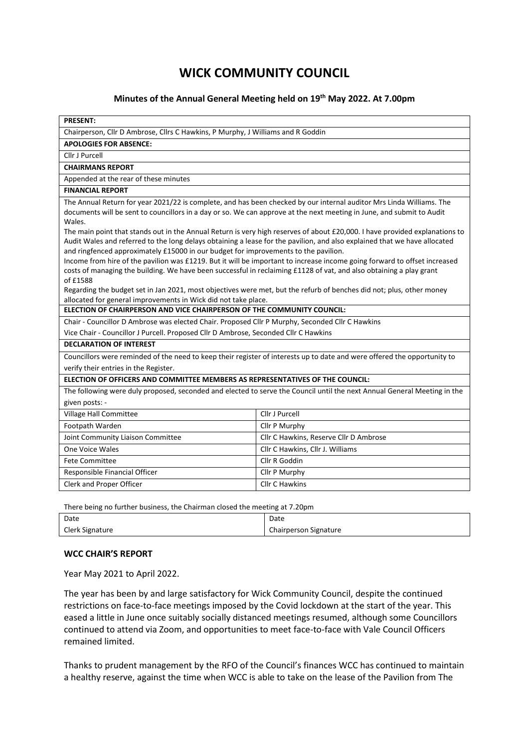## **WICK COMMUNITY COUNCIL**

## **Minutes of the Annual General Meeting held on 19th May 2022. At 7.00pm**

| <b>PRESENT:</b>                                                                                                                                                                                                                                                                                                                                                                                                                                                                                                     |                                        |  |
|---------------------------------------------------------------------------------------------------------------------------------------------------------------------------------------------------------------------------------------------------------------------------------------------------------------------------------------------------------------------------------------------------------------------------------------------------------------------------------------------------------------------|----------------------------------------|--|
| Chairperson, Cllr D Ambrose, Cllrs C Hawkins, P Murphy, J Williams and R Goddin                                                                                                                                                                                                                                                                                                                                                                                                                                     |                                        |  |
| <b>APOLOGIES FOR ABSENCE:</b>                                                                                                                                                                                                                                                                                                                                                                                                                                                                                       |                                        |  |
| Cllr J Purcell                                                                                                                                                                                                                                                                                                                                                                                                                                                                                                      |                                        |  |
| <b>CHAIRMANS REPORT</b>                                                                                                                                                                                                                                                                                                                                                                                                                                                                                             |                                        |  |
| Appended at the rear of these minutes                                                                                                                                                                                                                                                                                                                                                                                                                                                                               |                                        |  |
| <b>FINANCIAL REPORT</b>                                                                                                                                                                                                                                                                                                                                                                                                                                                                                             |                                        |  |
| The Annual Return for year 2021/22 is complete, and has been checked by our internal auditor Mrs Linda Williams. The<br>documents will be sent to councillors in a day or so. We can approve at the next meeting in June, and submit to Audit<br>Wales.<br>The main point that stands out in the Annual Return is very high reserves of about £20,000. I have provided explanations to<br>Audit Wales and referred to the long delays obtaining a lease for the pavilion, and also explained that we have allocated |                                        |  |
| and ringfenced approximately £15000 in our budget for improvements to the pavilion.<br>Income from hire of the pavilion was £1219. But it will be important to increase income going forward to offset increased<br>costs of managing the building. We have been successful in reclaiming £1128 of vat, and also obtaining a play grant<br>of £1588<br>Regarding the budget set in Jan 2021, most objectives were met, but the refurb of benches did not; plus, other money                                         |                                        |  |
| allocated for general improvements in Wick did not take place.                                                                                                                                                                                                                                                                                                                                                                                                                                                      |                                        |  |
| ELECTION OF CHAIRPERSON AND VICE CHAIRPERSON OF THE COMMUNITY COUNCIL:                                                                                                                                                                                                                                                                                                                                                                                                                                              |                                        |  |
| Chair - Councillor D Ambrose was elected Chair. Proposed Cllr P Murphy, Seconded Cllr C Hawkins                                                                                                                                                                                                                                                                                                                                                                                                                     |                                        |  |
| Vice Chair - Councillor J Purcell. Proposed Cllr D Ambrose, Seconded Cllr C Hawkins                                                                                                                                                                                                                                                                                                                                                                                                                                 |                                        |  |
| <b>DECLARATION OF INTEREST</b>                                                                                                                                                                                                                                                                                                                                                                                                                                                                                      |                                        |  |
| Councillors were reminded of the need to keep their register of interests up to date and were offered the opportunity to                                                                                                                                                                                                                                                                                                                                                                                            |                                        |  |
| verify their entries in the Register.                                                                                                                                                                                                                                                                                                                                                                                                                                                                               |                                        |  |
| ELECTION OF OFFICERS AND COMMITTEE MEMBERS AS REPRESENTATIVES OF THE COUNCIL:                                                                                                                                                                                                                                                                                                                                                                                                                                       |                                        |  |
| The following were duly proposed, seconded and elected to serve the Council until the next Annual General Meeting in the                                                                                                                                                                                                                                                                                                                                                                                            |                                        |  |
| given posts: -                                                                                                                                                                                                                                                                                                                                                                                                                                                                                                      |                                        |  |
| Village Hall Committee                                                                                                                                                                                                                                                                                                                                                                                                                                                                                              | Cllr J Purcell                         |  |
| Footpath Warden                                                                                                                                                                                                                                                                                                                                                                                                                                                                                                     | Cllr P Murphy                          |  |
| Joint Community Liaison Committee                                                                                                                                                                                                                                                                                                                                                                                                                                                                                   | Cllr C Hawkins, Reserve Cllr D Ambrose |  |
| One Voice Wales                                                                                                                                                                                                                                                                                                                                                                                                                                                                                                     | Cllr C Hawkins, Cllr J. Williams       |  |
| <b>Fete Committee</b>                                                                                                                                                                                                                                                                                                                                                                                                                                                                                               | Cllr R Goddin                          |  |
| Responsible Financial Officer                                                                                                                                                                                                                                                                                                                                                                                                                                                                                       | Cllr P Murphy                          |  |
| Clerk and Proper Officer                                                                                                                                                                                                                                                                                                                                                                                                                                                                                            | <b>Cllr C Hawkins</b>                  |  |
|                                                                                                                                                                                                                                                                                                                                                                                                                                                                                                                     |                                        |  |

There being no further business, the Chairman closed the meeting at 7.20pm

| Date            | Date                  |
|-----------------|-----------------------|
| Clerk Signature | Chairperson Signature |

## **WCC CHAIR'S REPORT**

Year May 2021 to April 2022.

The year has been by and large satisfactory for Wick Community Council, despite the continued restrictions on face-to-face meetings imposed by the Covid lockdown at the start of the year. This eased a little in June once suitably socially distanced meetings resumed, although some Councillors continued to attend via Zoom, and opportunities to meet face-to-face with Vale Council Officers remained limited.

Thanks to prudent management by the RFO of the Council's finances WCC has continued to maintain a healthy reserve, against the time when WCC is able to take on the lease of the Pavilion from The